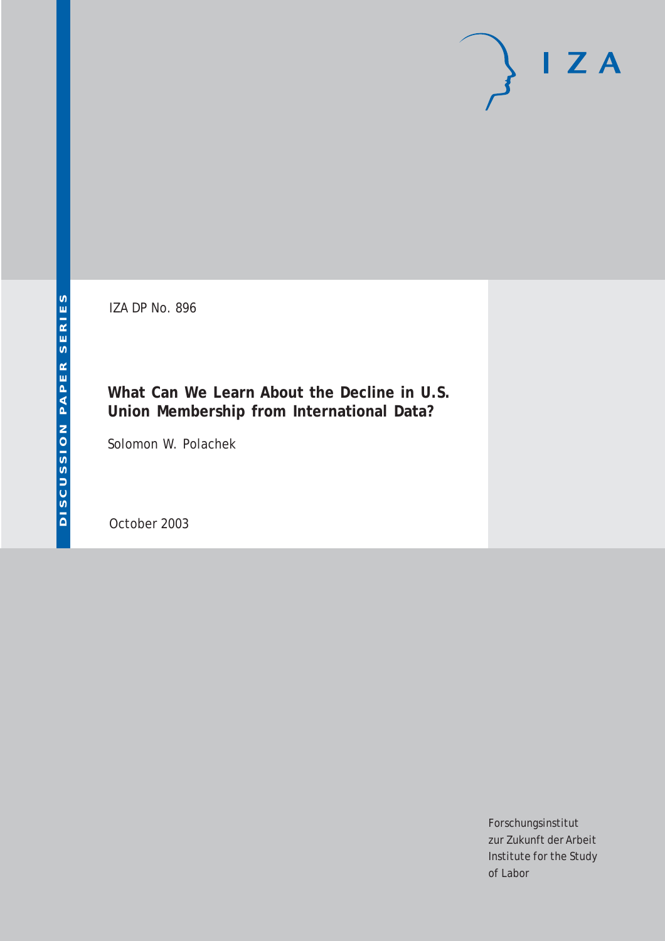IZA DP No. 896

# **What Can We Learn About the Decline in U.S. Union Membership from International Data?**

Solomon W. Polachek

October 2003

Forschungsinstitut zur Zukunft der Arbeit Institute for the Study of Labor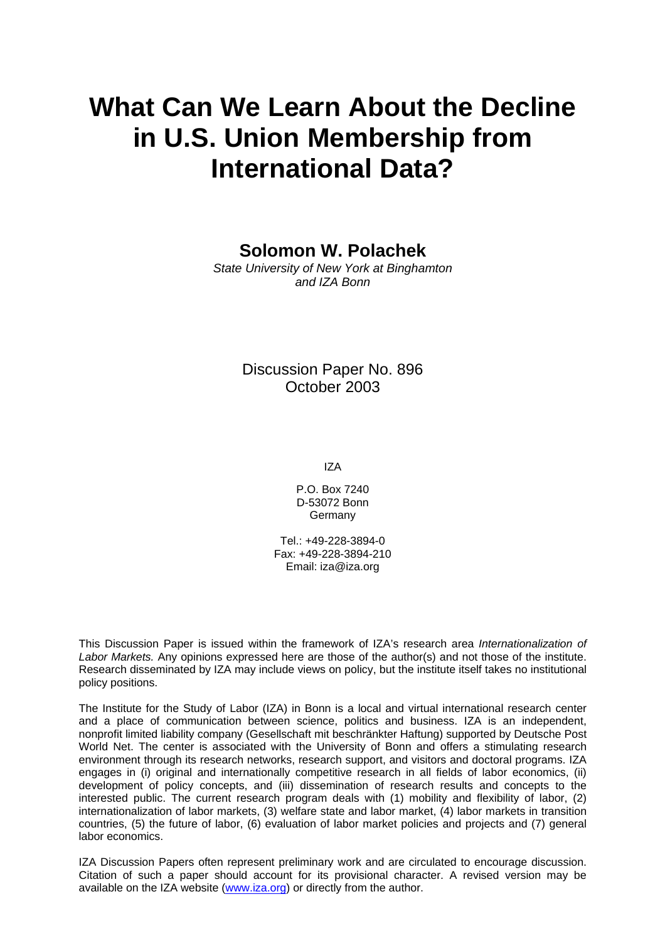# **What Can We Learn About the Decline in U.S. Union Membership from International Data?**

**Solomon W. Polachek** 

*State University of New York at Binghamton and IZA Bonn*

> Discussion Paper No. 896 October 2003

> > IZA

P.O. Box 7240 D-53072 Bonn Germany

Tel.: +49-228-3894-0 Fax: +49-228-3894-210 Email: [iza@iza.org](mailto:iza@iza.org)

This Discussion Paper is issued within the framework of IZA's research area *Internationalization of Labor Markets.* Any opinions expressed here are those of the author(s) and not those of the institute. Research disseminated by IZA may include views on policy, but the institute itself takes no institutional policy positions.

The Institute for the Study of Labor (IZA) in Bonn is a local and virtual international research center and a place of communication between science, politics and business. IZA is an independent, nonprofit limited liability company (Gesellschaft mit beschränkter Haftung) supported by Deutsche Post World Net. The center is associated with the University of Bonn and offers a stimulating research environment through its research networks, research support, and visitors and doctoral programs. IZA engages in (i) original and internationally competitive research in all fields of labor economics, (ii) development of policy concepts, and (iii) dissemination of research results and concepts to the interested public. The current research program deals with (1) mobility and flexibility of labor, (2) internationalization of labor markets, (3) welfare state and labor market, (4) labor markets in transition countries, (5) the future of labor, (6) evaluation of labor market policies and projects and (7) general labor economics.

IZA Discussion Papers often represent preliminary work and are circulated to encourage discussion. Citation of such a paper should account for its provisional character. A revised version may be available on the IZA website ([www.iza.org](http://www.iza.org/)) or directly from the author.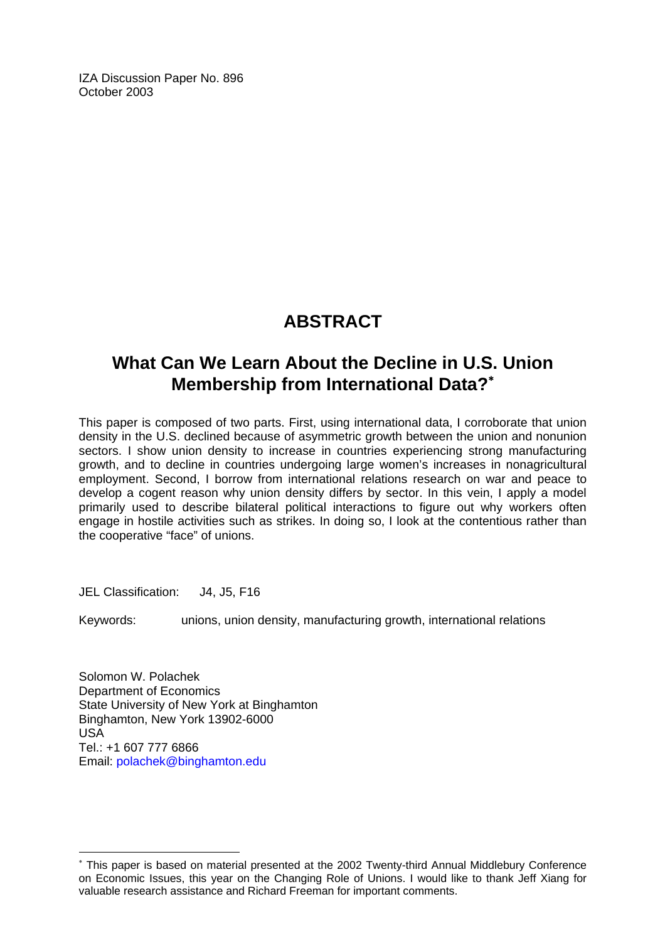IZA Discussion Paper No. 896 October 2003

# **ABSTRACT**

# **What Can We Learn About the Decline in U.S. Union Membership from International Data?**[∗](#page-2-0)

This paper is composed of two parts. First, using international data, I corroborate that union density in the U.S. declined because of asymmetric growth between the union and nonunion sectors. I show union density to increase in countries experiencing strong manufacturing growth, and to decline in countries undergoing large women's increases in nonagricultural employment. Second, I borrow from international relations research on war and peace to develop a cogent reason why union density differs by sector. In this vein, I apply a model primarily used to describe bilateral political interactions to figure out why workers often engage in hostile activities such as strikes. In doing so, I look at the contentious rather than the cooperative "face" of unions.

JEL Classification: J4, J5, F16

 $\overline{a}$ 

Keywords: unions, union density, manufacturing growth, international relations

Solomon W. Polachek Department of Economics State University of New York at Binghamton Binghamton, New York 13902-6000 USA Tel.: +1 607 777 6866 Email: [polachek@binghamton.edu](mailto:polachek@binghamton.edu)

<span id="page-2-0"></span><sup>∗</sup> This paper is based on material presented at the 2002 Twenty-third Annual Middlebury Conference on Economic Issues, this year on the Changing Role of Unions. I would like to thank Jeff Xiang for valuable research assistance and Richard Freeman for important comments.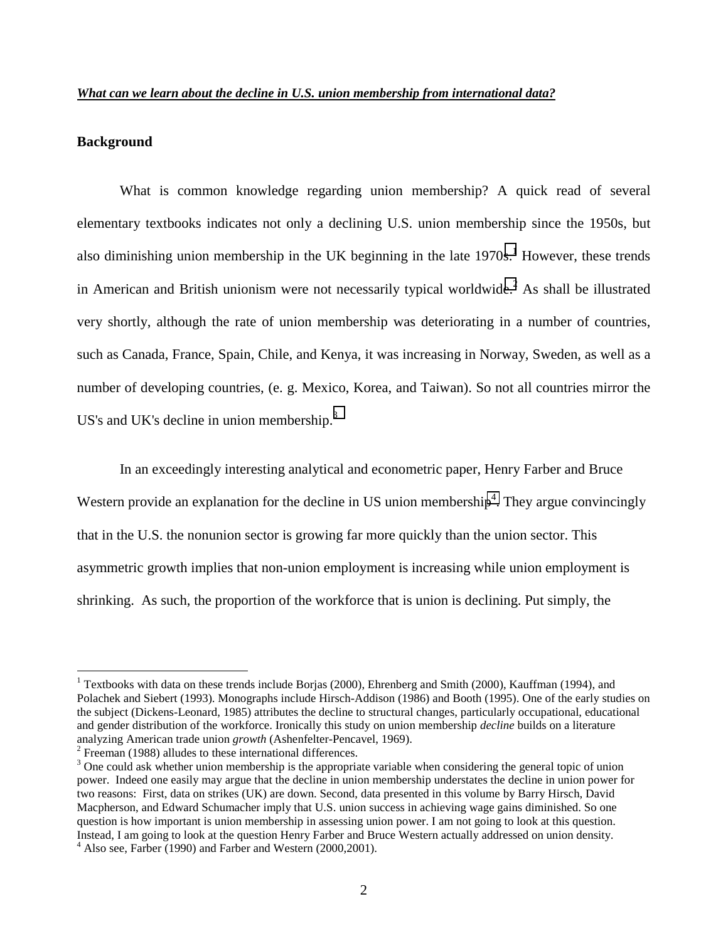#### **Background**

 $\overline{a}$ 

What is common knowledge regarding union membership? A quick read of several elementary textbooks indicates not only a declining U.S. union membership since the 1950s, but also diminishing union membership in the UK beginning in the late  $1970s$ .<sup>1</sup> However, these trends in American and British unionism were not necessarily typical worldwide.<sup>2</sup> As shall be illustrated very shortly, although the rate of union membership was deteriorating in a number of countries, such as Canada, France, Spain, Chile, and Kenya, it was increasing in Norway, Sweden, as well as a number of developing countries, (e. g. Mexico, Korea, and Taiwan). So not all countries mirror the US's and UK's decline in union membership. $3$ 

 In an exceedingly interesting analytical and econometric paper, Henry Farber and Bruce Western provide an explanation for the decline in US union membership<sup>4</sup>. They argue convincingly that in the U.S. the nonunion sector is growing far more quickly than the union sector. This asymmetric growth implies that non-union employment is increasing while union employment is shrinking. As such, the proportion of the workforce that is union is declining. Put simply, the

<sup>&</sup>lt;sup>1</sup> Textbooks with data on these trends include Borjas (2000), Ehrenberg and Smith (2000), Kauffman (1994), and Polachek and Siebert (1993). Monographs include Hirsch-Addison (1986) and Booth (1995). One of the early studies on the subject (Dickens-Leonard, 1985) attributes the decline to structural changes, particularly occupational, educational and gender distribution of the workforce. Ironically this study on union membership *decline* builds on a literature analyzing American trade union *growth* (Ashenfelter-Pencavel, 1969). 2

 $2$  Freeman (1988) alludes to these international differences.

 $3$  One could ask whether union membership is the appropriate variable when considering the general topic of union power. Indeed one easily may argue that the decline in union membership understates the decline in union power for two reasons: First, data on strikes (UK) are down. Second, data presented in this volume by Barry Hirsch, David Macpherson, and Edward Schumacher imply that U.S. union success in achieving wage gains diminished. So one question is how important is union membership in assessing union power. I am not going to look at this question. Instead, I am going to look at the question Henry Farber and Bruce Western actually addressed on union density. <sup>4</sup> Also see, Farber (1990) and Farber and Western (2000,2001).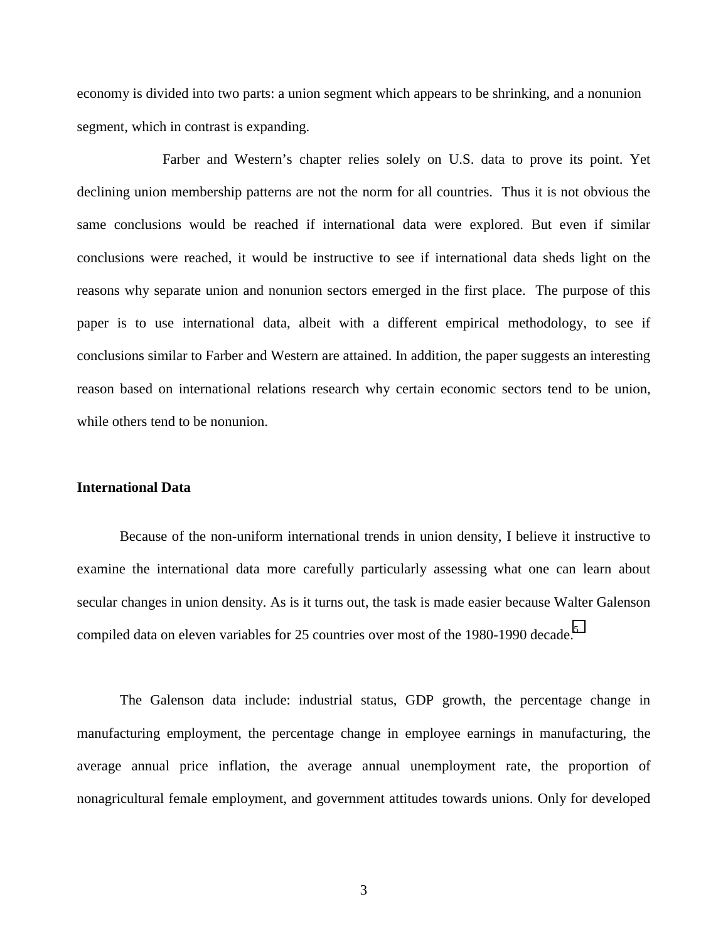economy is divided into two parts: a union segment which appears to be shrinking, and a nonunion segment, which in contrast is expanding.

 Farber and Western's chapter relies solely on U.S. data to prove its point. Yet declining union membership patterns are not the norm for all countries. Thus it is not obvious the same conclusions would be reached if international data were explored. But even if similar conclusions were reached, it would be instructive to see if international data sheds light on the reasons why separate union and nonunion sectors emerged in the first place. The purpose of this paper is to use international data, albeit with a different empirical methodology, to see if conclusions similar to Farber and Western are attained. In addition, the paper suggests an interesting reason based on international relations research why certain economic sectors tend to be union, while others tend to be nonunion.

#### **International Data**

Because of the non-uniform international trends in union density, I believe it instructive to examine the international data more carefully particularly assessing what one can learn about secular changes in union density. As is it turns out, the task is made easier because Walter Galenson compiled data on eleven variables for 25 countries over most of the 1980-1990 decade.<sup>5</sup>

The Galenson data include: industrial status, GDP growth, the percentage change in manufacturing employment, the percentage change in employee earnings in manufacturing, the average annual price inflation, the average annual unemployment rate, the proportion of nonagricultural female employment, and government attitudes towards unions. Only for developed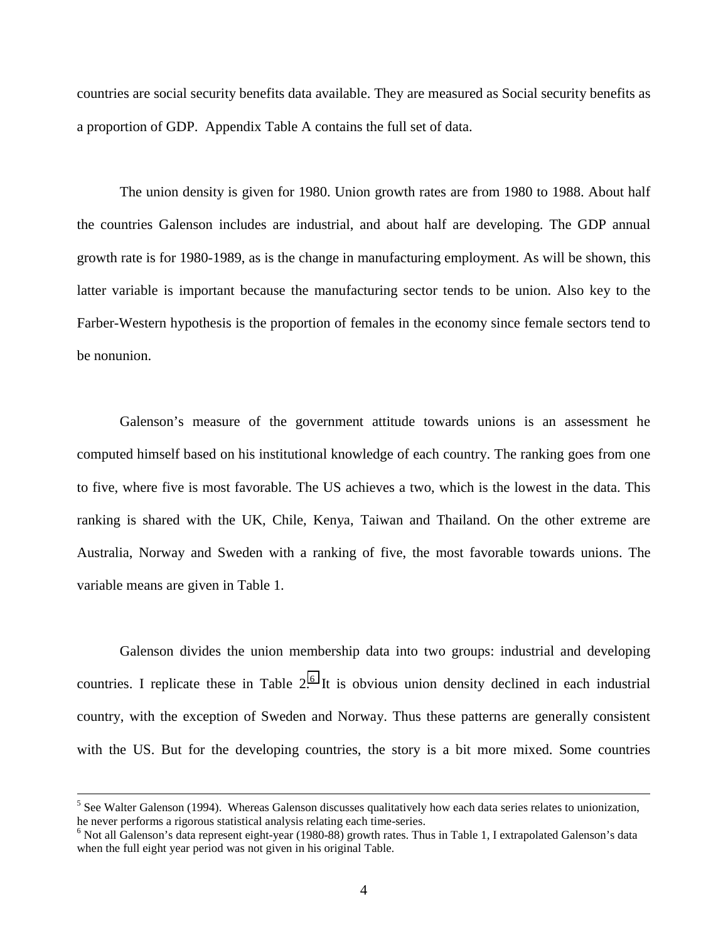countries are social security benefits data available. They are measured as Social security benefits as a proportion of GDP. Appendix Table A contains the full set of data.

The union density is given for 1980. Union growth rates are from 1980 to 1988. About half the countries Galenson includes are industrial, and about half are developing. The GDP annual growth rate is for 1980-1989, as is the change in manufacturing employment. As will be shown, this latter variable is important because the manufacturing sector tends to be union. Also key to the Farber-Western hypothesis is the proportion of females in the economy since female sectors tend to be nonunion.

Galenson's measure of the government attitude towards unions is an assessment he computed himself based on his institutional knowledge of each country. The ranking goes from one to five, where five is most favorable. The US achieves a two, which is the lowest in the data. This ranking is shared with the UK, Chile, Kenya, Taiwan and Thailand. On the other extreme are Australia, Norway and Sweden with a ranking of five, the most favorable towards unions. The variable means are given in Table 1.

Galenson divides the union membership data into two groups: industrial and developing countries. I replicate these in Table  $2<sup>6</sup>$  It is obvious union density declined in each industrial country, with the exception of Sweden and Norway. Thus these patterns are generally consistent with the US. But for the developing countries, the story is a bit more mixed. Some countries

 $\frac{1}{5}$  $<sup>5</sup>$  See Walter Galenson (1994). Whereas Galenson discusses qualitatively how each data series relates to unionization,</sup> he never performs a rigorous statistical analysis relating each time-series.

<sup>&</sup>lt;sup>6</sup> Not all Galenson's data represent eight-year (1980-88) growth rates. Thus in Table 1, I extrapolated Galenson's data when the full eight year period was not given in his original Table.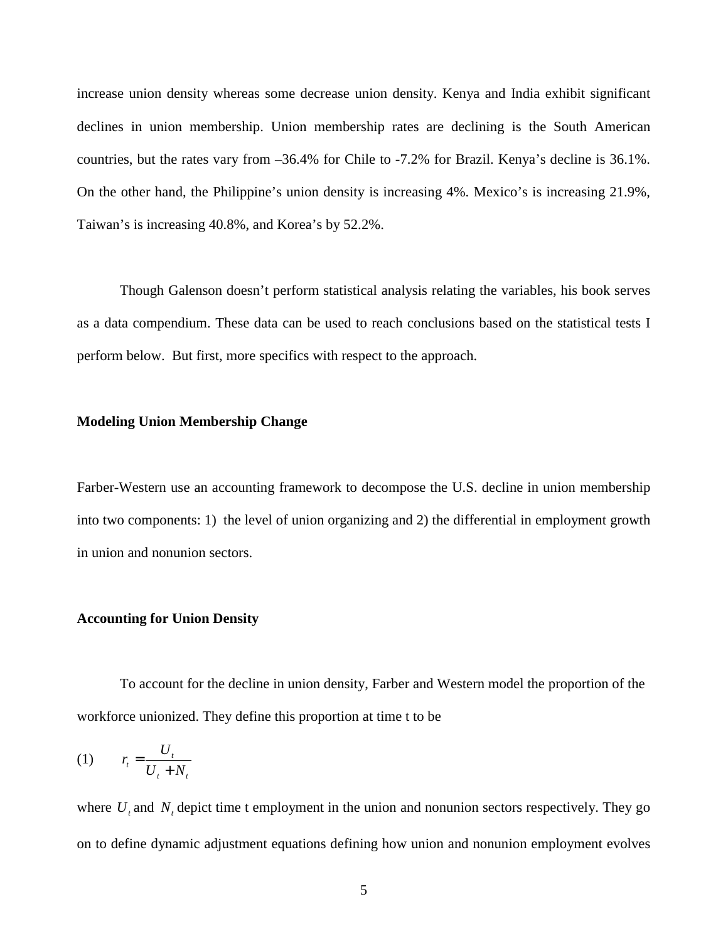increase union density whereas some decrease union density. Kenya and India exhibit significant declines in union membership. Union membership rates are declining is the South American countries, but the rates vary from –36.4% for Chile to -7.2% for Brazil. Kenya's decline is 36.1%. On the other hand, the Philippine's union density is increasing 4%. Mexico's is increasing 21.9%, Taiwan's is increasing 40.8%, and Korea's by 52.2%.

Though Galenson doesn't perform statistical analysis relating the variables, his book serves as a data compendium. These data can be used to reach conclusions based on the statistical tests I perform below. But first, more specifics with respect to the approach.

#### **Modeling Union Membership Change**

Farber-Western use an accounting framework to decompose the U.S. decline in union membership into two components: 1) the level of union organizing and 2) the differential in employment growth in union and nonunion sectors.

#### **Accounting for Union Density**

 To account for the decline in union density, Farber and Western model the proportion of the workforce unionized. They define this proportion at time t to be

$$
(1) \qquad r_t = \frac{U_t}{U_t + N_t}
$$

where  $U_t$  and  $N_t$  depict time t employment in the union and nonunion sectors respectively. They go on to define dynamic adjustment equations defining how union and nonunion employment evolves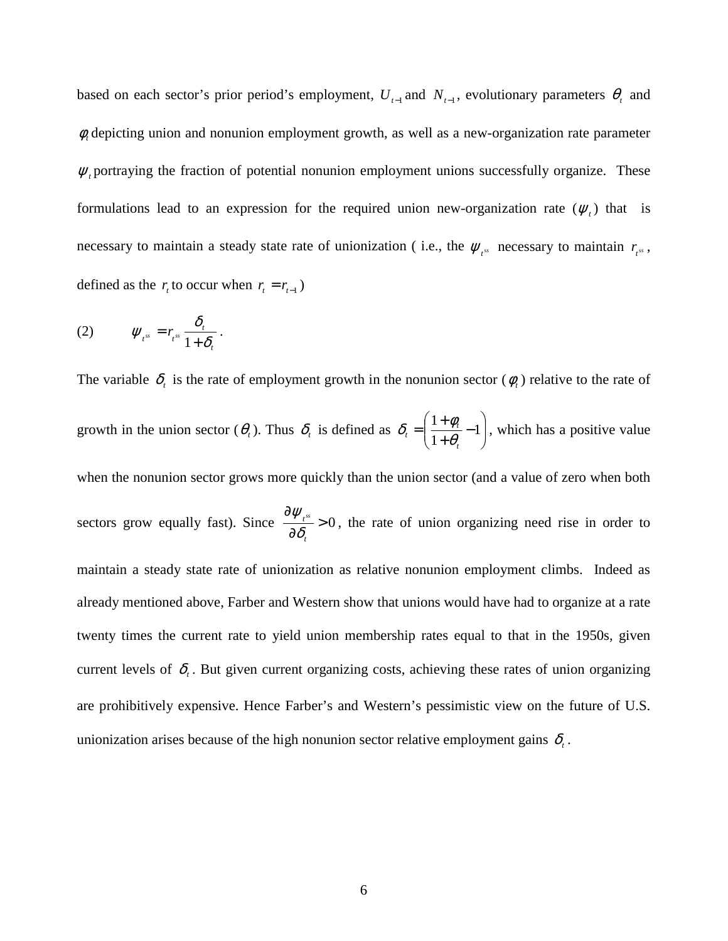based on each sector's prior period's employment,  $U_{t-1}$  and  $N_{t-1}$ , evolutionary parameters  $\theta_t$  and φ*<sup>t</sup>* depicting union and nonunion employment growth, as well as a new-organization rate parameter  $\psi$ , portraying the fraction of potential nonunion employment unions successfully organize. These formulations lead to an expression for the required union new-organization rate  $(\psi_t)$  that is necessary to maintain a steady state rate of unionization (i.e., the  $\psi_{t}$  necessary to maintain  $r_{t}$ ,  $\psi_{t}$ , defined as the  $r_t$  to occur when  $r_t = r_{t-1}$ )

$$
(2) \t\t\t \mathcal{W}_{t^{ss}} = r_{t^{ss}} \frac{\delta_t}{1 + \delta_t}.
$$

The variable  $\delta_t$  is the rate of employment growth in the nonunion sector ( $\phi_t$ ) relative to the rate of growth in the union sector  $(\theta_t)$ . Thus  $\delta_t$  is defined as  $\delta_t = \left| \frac{1 + \varphi_t}{1 + \theta} - 1 \right|$ J  $\backslash$  $\overline{\phantom{a}}$  $=\left(\frac{1+\phi_t}{1+\theta_t}-1\right)$ 1 1 *t*  $\delta_i = \left(\frac{1+\phi_i}{1+\theta_i}-1\right)$ , which has a positive value when the nonunion sector grows more quickly than the union sector (and a value of zero when both sectors grow equally fast). Since  $\frac{f_{t}^{s}}{2} > 0$ ∂ ∂ *t t ss*  $\frac{\partial \psi_{t,s}}{\partial \delta} > 0$ , the rate of union organizing need rise in order to maintain a steady state rate of unionization as relative nonunion employment climbs. Indeed as already mentioned above, Farber and Western show that unions would have had to organize at a rate twenty times the current rate to yield union membership rates equal to that in the 1950s, given current levels of  $\delta$ . But given current organizing costs, achieving these rates of union organizing are prohibitively expensive. Hence Farber's and Western's pessimistic view on the future of U.S. unionization arises because of the high nonunion sector relative employment gains  $\delta_t$ .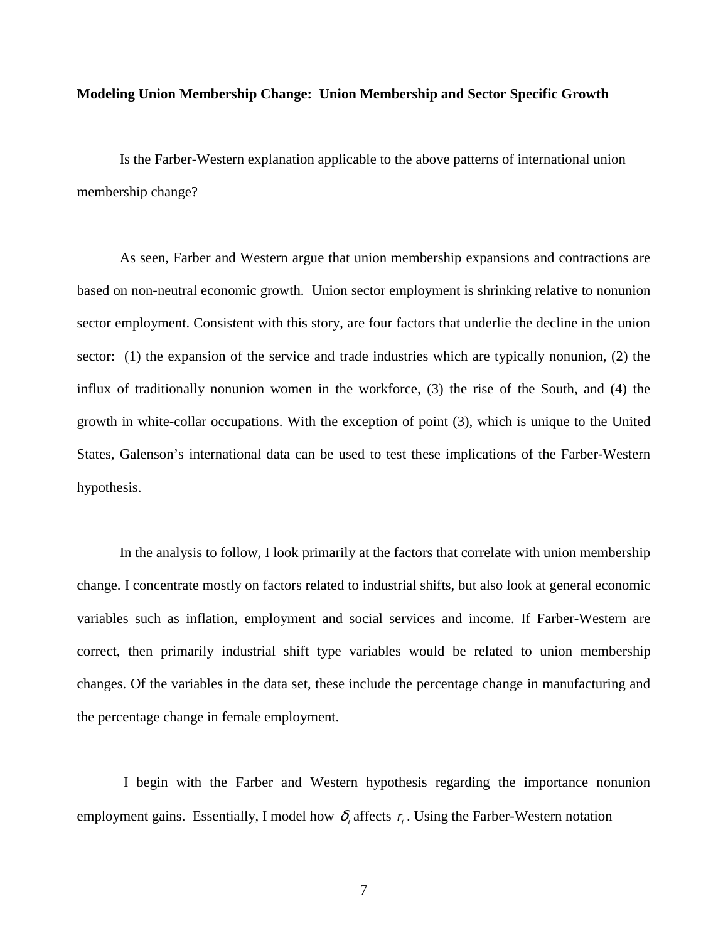#### **Modeling Union Membership Change: Union Membership and Sector Specific Growth**

Is the Farber-Western explanation applicable to the above patterns of international union membership change?

As seen, Farber and Western argue that union membership expansions and contractions are based on non-neutral economic growth. Union sector employment is shrinking relative to nonunion sector employment. Consistent with this story, are four factors that underlie the decline in the union sector: (1) the expansion of the service and trade industries which are typically nonunion, (2) the influx of traditionally nonunion women in the workforce, (3) the rise of the South, and (4) the growth in white-collar occupations. With the exception of point (3), which is unique to the United States, Galenson's international data can be used to test these implications of the Farber-Western hypothesis.

In the analysis to follow, I look primarily at the factors that correlate with union membership change. I concentrate mostly on factors related to industrial shifts, but also look at general economic variables such as inflation, employment and social services and income. If Farber-Western are correct, then primarily industrial shift type variables would be related to union membership changes. Of the variables in the data set, these include the percentage change in manufacturing and the percentage change in female employment.

 I begin with the Farber and Western hypothesis regarding the importance nonunion employment gains. Essentially, I model how  $\delta$ , affects  $r<sub>i</sub>$ . Using the Farber-Western notation

7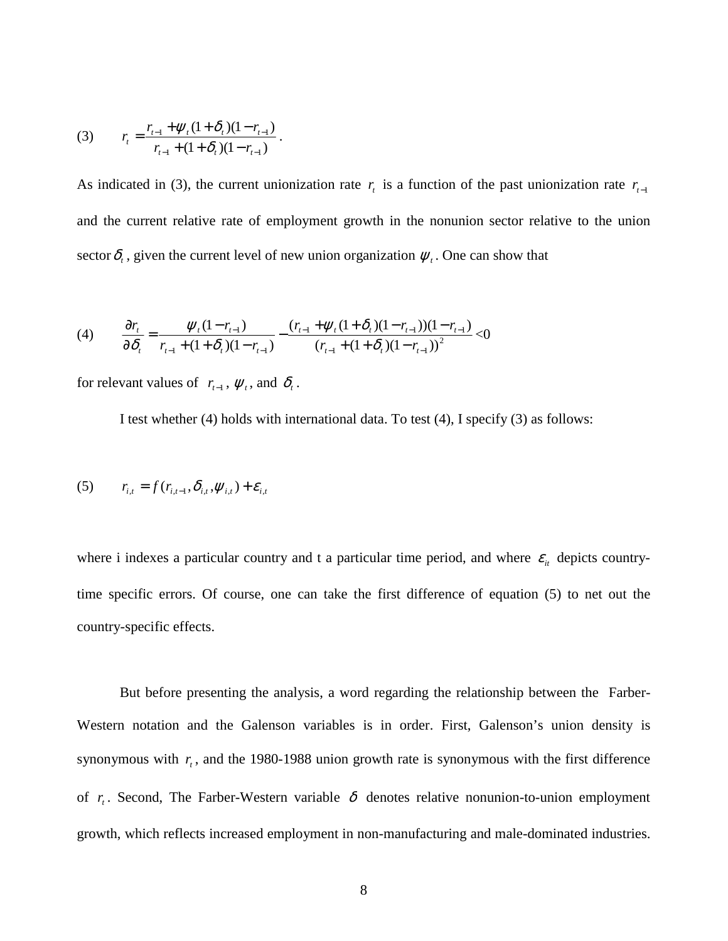(3) 
$$
r_{t} = \frac{r_{t-1} + \psi_{t} (1 + \delta_{t}) (1 - r_{t-1})}{r_{t-1} + (1 + \delta_{t}) (1 - r_{t-1})}.
$$

As indicated in (3), the current unionization rate  $r<sub>t</sub>$  is a function of the past unionization rate  $r<sub>t-1</sub>$ and the current relative rate of employment growth in the nonunion sector relative to the union sector  $\delta_t$ , given the current level of new union organization  $\psi_t$ . One can show that

(4) 
$$
\frac{\partial r_{t}}{\partial \delta_{t}} = \frac{\psi_{t}(1 - r_{t-1})}{r_{t-1} + (1 + \delta_{t})(1 - r_{t-1})} - \frac{(r_{t-1} + \psi_{t}(1 + \delta_{t})(1 - r_{t-1}))(1 - r_{t-1})}{(r_{t-1} + (1 + \delta_{t})(1 - r_{t-1}))^{2}} < 0
$$

for relevant values of  $r_{t-1}$ ,  $\psi_t$ , and  $\delta_t$ .

I test whether (4) holds with international data. To test (4), I specify (3) as follows:

(5) 
$$
r_{i,t} = f(r_{i,t-1}, \delta_{i,t}, \psi_{i,t}) + \varepsilon_{i,t}
$$

where i indexes a particular country and t a particular time period, and where  $\varepsilon$ <sub>*i*</sub> depicts countrytime specific errors. Of course, one can take the first difference of equation (5) to net out the country-specific effects.

But before presenting the analysis, a word regarding the relationship between the Farber-Western notation and the Galenson variables is in order. First, Galenson's union density is synonymous with  $r<sub>r</sub>$ , and the 1980-1988 union growth rate is synonymous with the first difference of  $r_t$ . Second, The Farber-Western variable  $\delta$  denotes relative nonunion-to-union employment growth, which reflects increased employment in non-manufacturing and male-dominated industries.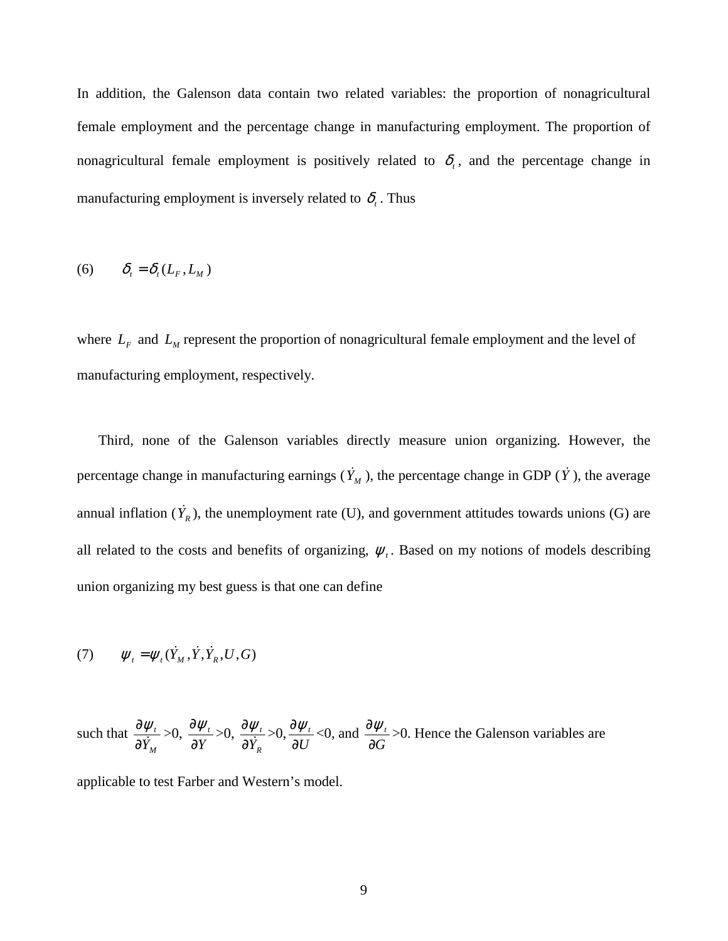In addition, the Galenson data contain two related variables: the proportion of nonagricultural female employment and the percentage change in manufacturing employment. The proportion of nonagricultural female employment is positively related to  $\delta_t$ , and the percentage change in manufacturing employment is inversely related to  $\delta_t$ . Thus

$$
(6) \qquad \delta_t = \delta_t(L_F, L_M)
$$

where  $L_F$  and  $L_M$  represent the proportion of nonagricultural female employment and the level of manufacturing employment, respectively.

Third, none of the Galenson variables directly measure union organizing. However, the percentage change in manufacturing earnings  $(\dot{Y}_M)$ , the percentage change in GDP ( $\dot{Y}$ ), the average annual inflation  $(Y_R)$ , the unemployment rate (U), and government attitudes towards unions (G) are all related to the costs and benefits of organizing,  $\psi$ . Based on my notions of models describing union organizing my best guess is that one can define

$$
(7) \qquad \psi_t = \psi_t(\dot{Y}_M, \dot{Y}, \dot{Y}_R, U, G)
$$

such that *M t*  $\frac{\partial \psi_t}{\partial \dot{Y}_M}$  >0,  $\frac{\partial \psi_t}{\partial Y}$ ∂  $\frac{\partial \psi_t}{\partial x} > 0$ , *R t*  $\frac{\partial \psi_{t}}{\partial \dot{Y}_{R}}$ >0, $\frac{\partial \psi_{t}}{\partial U}$  $\frac{\partial \psi_t}{\partial U}$ <0, and  $\frac{\partial \psi_t}{\partial G}$ ∂  $\frac{\partial \psi_t}{\partial \sigma}$  >0. Hence the Galenson variables are

applicable to test Farber and Western's model.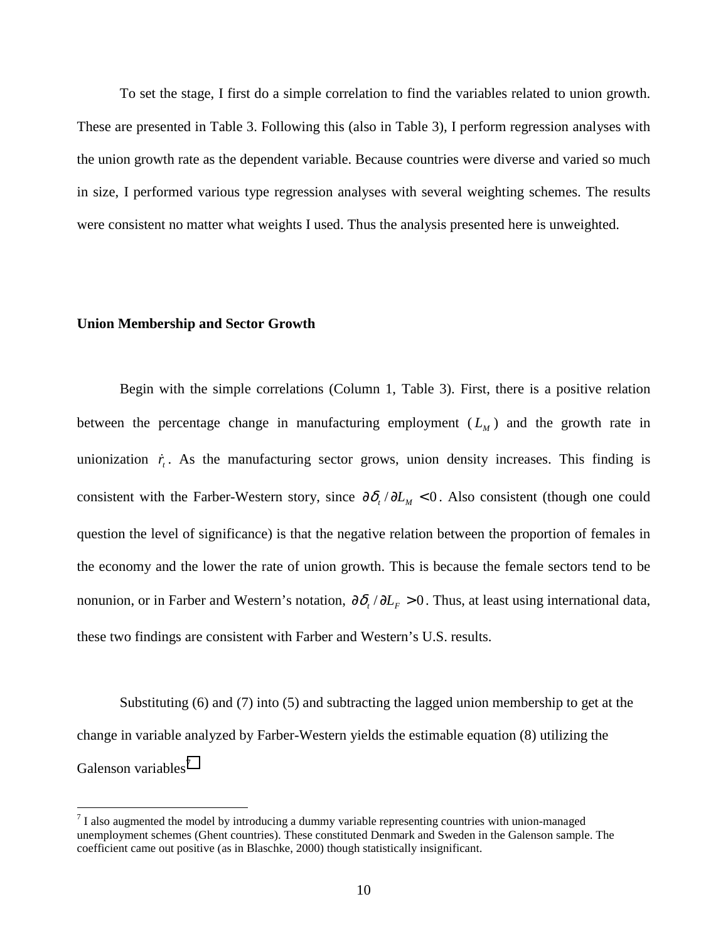To set the stage, I first do a simple correlation to find the variables related to union growth. These are presented in Table 3. Following this (also in Table 3), I perform regression analyses with the union growth rate as the dependent variable. Because countries were diverse and varied so much in size, I performed various type regression analyses with several weighting schemes. The results were consistent no matter what weights I used. Thus the analysis presented here is unweighted.

#### **Union Membership and Sector Growth**

 $\overline{a}$ 

Begin with the simple correlations (Column 1, Table 3). First, there is a positive relation between the percentage change in manufacturing employment  $(L_M)$  and the growth rate in unionization  $\dot{r}$ . As the manufacturing sector grows, union density increases. This finding is consistent with the Farber-Western story, since  $\partial \delta_t / \partial L_M < 0$ . Also consistent (though one could question the level of significance) is that the negative relation between the proportion of females in the economy and the lower the rate of union growth. This is because the female sectors tend to be nonunion, or in Farber and Western's notation,  $\partial \delta_t / \partial L_F > 0$ . Thus, at least using international data, these two findings are consistent with Farber and Western's U.S. results.

Substituting (6) and (7) into (5) and subtracting the lagged union membership to get at the change in variable analyzed by Farber-Western yields the estimable equation (8) utilizing the Galenson variables<sup>7</sup>

 $<sup>7</sup>$  I also augmented the model by introducing a dummy variable representing countries with union-managed</sup> unemployment schemes (Ghent countries). These constituted Denmark and Sweden in the Galenson sample. The coefficient came out positive (as in Blaschke, 2000) though statistically insignificant.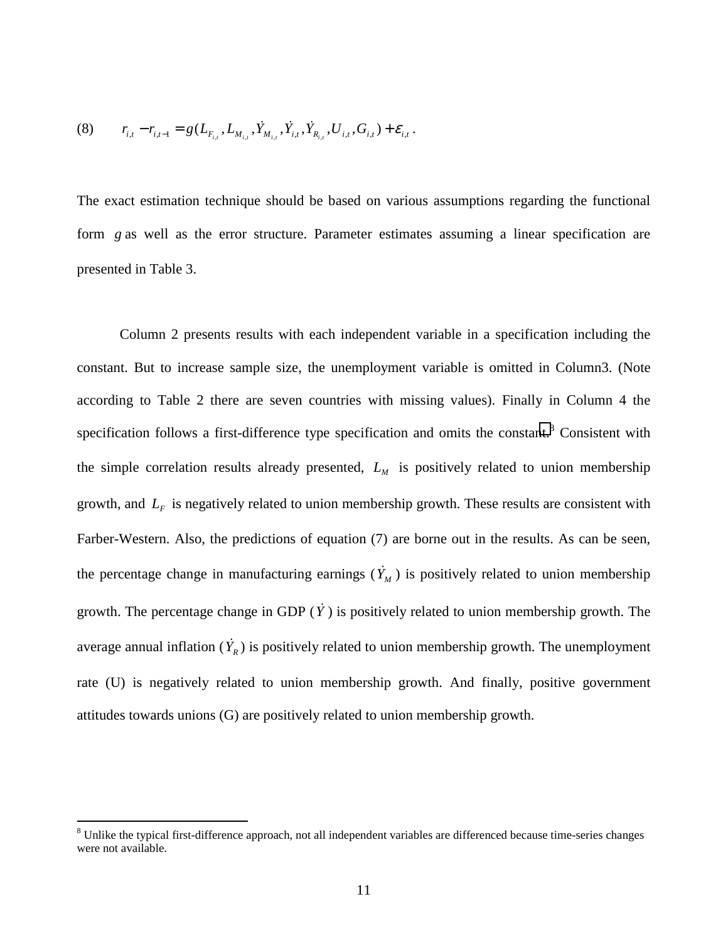$$
(8) \t r_{i,t} - r_{i,t-1} = g(L_{F_{i,t}}, L_{M_{i,t}}, \dot{Y}_{M_{i,t}}, \dot{Y}_{R_{i,t}}, \dot{Y}_{R_{i,t}}, G_{i,t}) + \varepsilon_{i,t}.
$$

The exact estimation technique should be based on various assumptions regarding the functional form *g* as well as the error structure. Parameter estimates assuming a linear specification are presented in Table 3.

 Column 2 presents results with each independent variable in a specification including the constant. But to increase sample size, the unemployment variable is omitted in Column3. (Note according to Table 2 there are seven countries with missing values). Finally in Column 4 the specification follows a first-difference type specification and omits the constant.<sup>8</sup> Consistent with the simple correlation results already presented,  $L<sub>M</sub>$  is positively related to union membership growth, and  $L<sub>F</sub>$  is negatively related to union membership growth. These results are consistent with Farber-Western. Also, the predictions of equation (7) are borne out in the results. As can be seen, the percentage change in manufacturing earnings  $(\dot{Y}_M)$  is positively related to union membership growth. The percentage change in GDP  $(\dot{Y})$  is positively related to union membership growth. The average annual inflation  $(Y_R)$  is positively related to union membership growth. The unemployment rate (U) is negatively related to union membership growth. And finally, positive government attitudes towards unions (G) are positively related to union membership growth.

 $\overline{a}$ 

 $8$  Unlike the typical first-difference approach, not all independent variables are differenced because time-series changes were not available.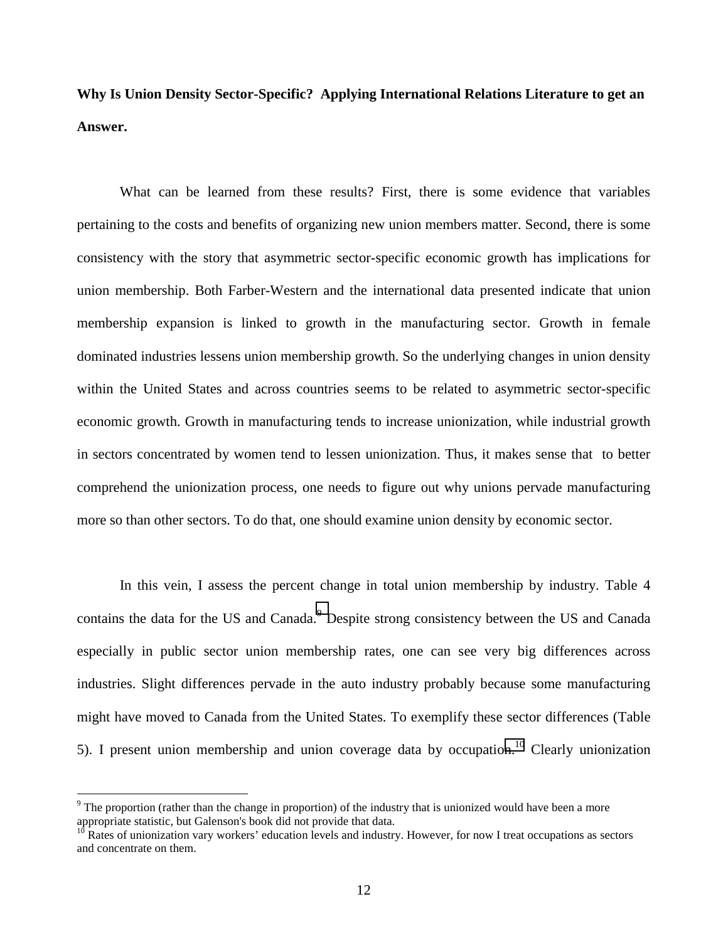**Why Is Union Density Sector-Specific? Applying International Relations Literature to get an Answer.** 

What can be learned from these results? First, there is some evidence that variables pertaining to the costs and benefits of organizing new union members matter. Second, there is some consistency with the story that asymmetric sector-specific economic growth has implications for union membership. Both Farber-Western and the international data presented indicate that union membership expansion is linked to growth in the manufacturing sector. Growth in female dominated industries lessens union membership growth. So the underlying changes in union density within the United States and across countries seems to be related to asymmetric sector-specific economic growth. Growth in manufacturing tends to increase unionization, while industrial growth in sectors concentrated by women tend to lessen unionization. Thus, it makes sense that to better comprehend the unionization process, one needs to figure out why unions pervade manufacturing more so than other sectors. To do that, one should examine union density by economic sector.

In this vein, I assess the percent change in total union membership by industry. Table 4 contains the data for the US and Canada.<sup>9</sup> Despite strong consistency between the US and Canada especially in public sector union membership rates, one can see very big differences across industries. Slight differences pervade in the auto industry probably because some manufacturing might have moved to Canada from the United States. To exemplify these sector differences (Table 5). I present union membership and union coverage data by occupation.<sup>10</sup> Clearly unionization

 $\overline{a}$ 

 $9$  The proportion (rather than the change in proportion) of the industry that is unionized would have been a more appropriate statistic, but Galenson's book did not provide that data.<br><sup>10</sup> Potes of unionismic

Rates of unionization vary workers' education levels and industry. However, for now I treat occupations as sectors and concentrate on them.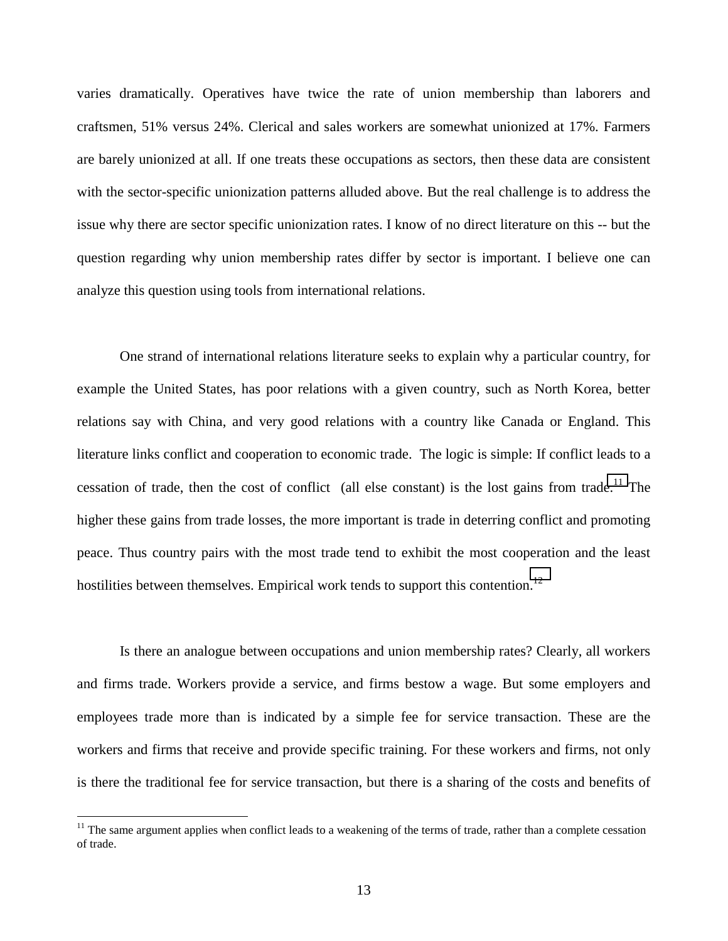varies dramatically. Operatives have twice the rate of union membership than laborers and craftsmen, 51% versus 24%. Clerical and sales workers are somewhat unionized at 17%. Farmers are barely unionized at all. If one treats these occupations as sectors, then these data are consistent with the sector-specific unionization patterns alluded above. But the real challenge is to address the issue why there are sector specific unionization rates. I know of no direct literature on this -- but the question regarding why union membership rates differ by sector is important. I believe one can analyze this question using tools from international relations.

One strand of international relations literature seeks to explain why a particular country, for example the United States, has poor relations with a given country, such as North Korea, better relations say with China, and very good relations with a country like Canada or England. This literature links conflict and cooperation to economic trade. The logic is simple: If conflict leads to a cessation of trade, then the cost of conflict (all else constant) is the lost gains from trade.<sup>11</sup> The higher these gains from trade losses, the more important is trade in deterring conflict and promoting peace. Thus country pairs with the most trade tend to exhibit the most cooperation and the least hostilities between themselves. Empirical work tends to support this contention.<sup>12</sup>

Is there an analogue between occupations and union membership rates? Clearly, all workers and firms trade. Workers provide a service, and firms bestow a wage. But some employers and employees trade more than is indicated by a simple fee for service transaction. These are the workers and firms that receive and provide specific training. For these workers and firms, not only is there the traditional fee for service transaction, but there is a sharing of the costs and benefits of

 $\overline{a}$ 

 $11$  The same argument applies when conflict leads to a weakening of the terms of trade, rather than a complete cessation of trade.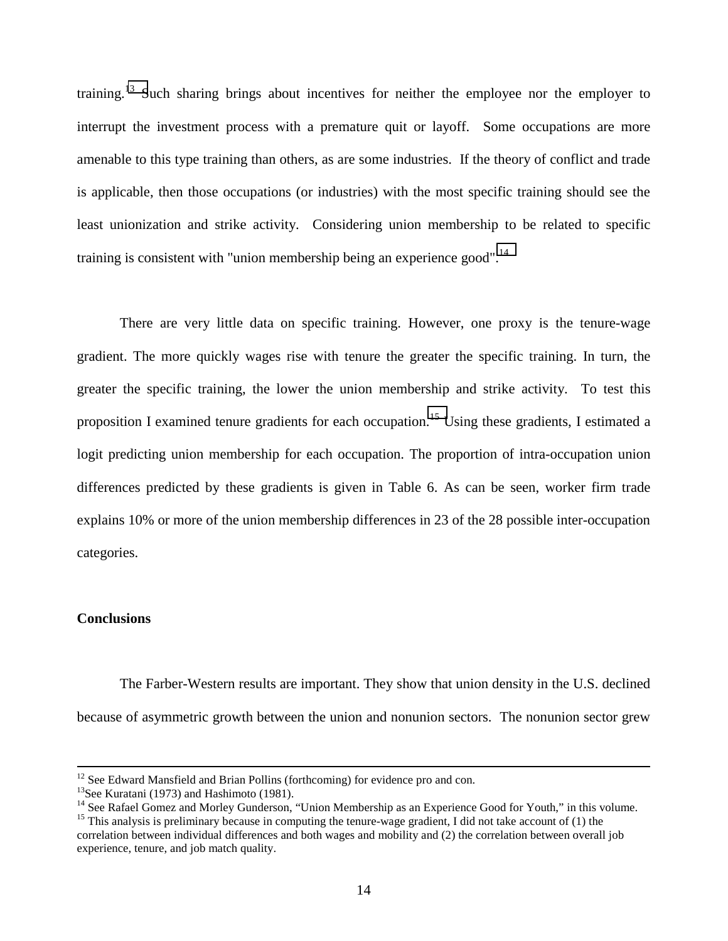training.<sup>13</sup> Such sharing brings about incentives for neither the employee nor the employer to interrupt the investment process with a premature quit or layoff. Some occupations are more amenable to this type training than others, as are some industries. If the theory of conflict and trade is applicable, then those occupations (or industries) with the most specific training should see the least unionization and strike activity. Considering union membership to be related to specific training is consistent with "union membership being an experience good".<sup>14</sup>

There are very little data on specific training. However, one proxy is the tenure-wage gradient. The more quickly wages rise with tenure the greater the specific training. In turn, the greater the specific training, the lower the union membership and strike activity. To test this proposition I examined tenure gradients for each occupation.<sup>15</sup> Using these gradients, I estimated a logit predicting union membership for each occupation. The proportion of intra-occupation union differences predicted by these gradients is given in Table 6. As can be seen, worker firm trade explains 10% or more of the union membership differences in 23 of the 28 possible inter-occupation categories.

#### **Conclusions**

The Farber-Western results are important. They show that union density in the U.S. declined because of asymmetric growth between the union and nonunion sectors. The nonunion sector grew

 $12$  See Edward Mansfield and Brian Pollins (forthcoming) for evidence pro and con.

<sup>&</sup>lt;sup>13</sup>See Kuratani (1973) and Hashimoto (1981).

<sup>&</sup>lt;sup>14</sup> See Rafael Gomez and Morley Gunderson, "Union Membership as an Experience Good for Youth," in this volume.

<sup>&</sup>lt;sup>15</sup> This analysis is preliminary because in computing the tenure-wage gradient, I did not take account of  $(1)$  the correlation between individual differences and both wages and mobility and (2) the correlation between overall job experience, tenure, and job match quality.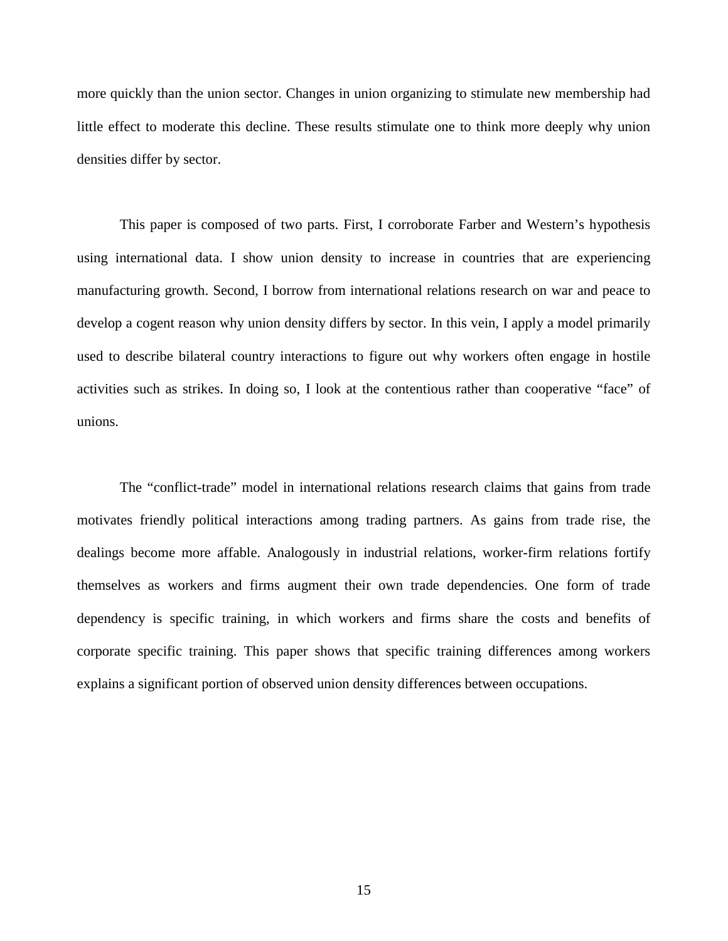more quickly than the union sector. Changes in union organizing to stimulate new membership had little effect to moderate this decline. These results stimulate one to think more deeply why union densities differ by sector.

This paper is composed of two parts. First, I corroborate Farber and Western's hypothesis using international data. I show union density to increase in countries that are experiencing manufacturing growth. Second, I borrow from international relations research on war and peace to develop a cogent reason why union density differs by sector. In this vein, I apply a model primarily used to describe bilateral country interactions to figure out why workers often engage in hostile activities such as strikes. In doing so, I look at the contentious rather than cooperative "face" of unions.

The "conflict-trade" model in international relations research claims that gains from trade motivates friendly political interactions among trading partners. As gains from trade rise, the dealings become more affable. Analogously in industrial relations, worker-firm relations fortify themselves as workers and firms augment their own trade dependencies. One form of trade dependency is specific training, in which workers and firms share the costs and benefits of corporate specific training. This paper shows that specific training differences among workers explains a significant portion of observed union density differences between occupations.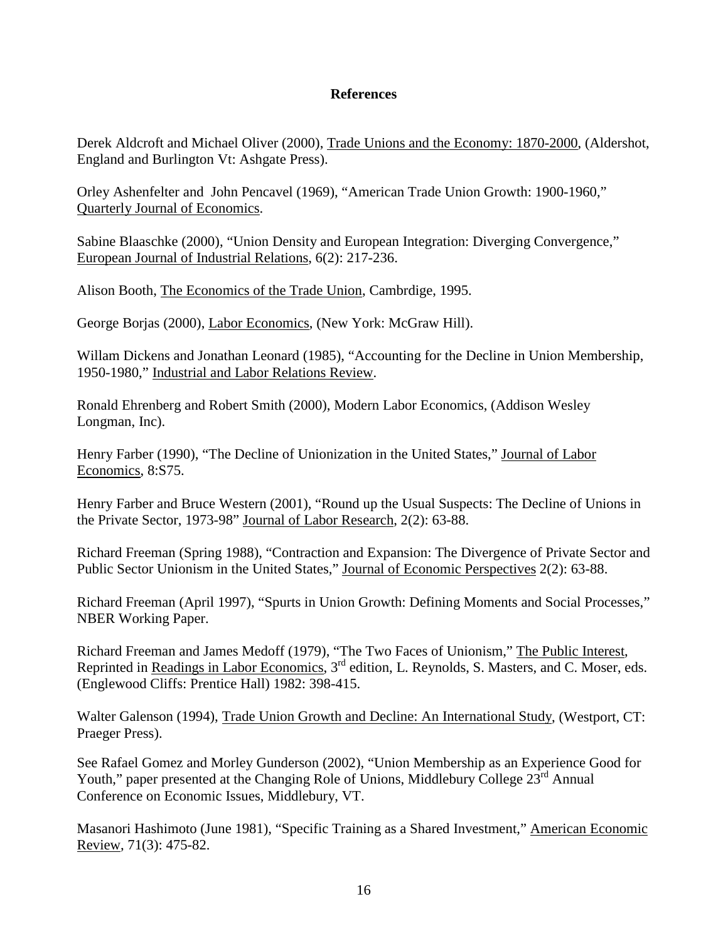#### **References**

Derek Aldcroft and Michael Oliver (2000), Trade Unions and the Economy: 1870-2000, (Aldershot, England and Burlington Vt: Ashgate Press).

Orley Ashenfelter and John Pencavel (1969), "American Trade Union Growth: 1900-1960," Quarterly Journal of Economics.

Sabine Blaaschke (2000), "Union Density and European Integration: Diverging Convergence," European Journal of Industrial Relations, 6(2): 217-236.

Alison Booth, The Economics of the Trade Union, Cambrdige, 1995.

George Borjas (2000), Labor Economics, (New York: McGraw Hill).

Willam Dickens and Jonathan Leonard (1985), "Accounting for the Decline in Union Membership, 1950-1980," Industrial and Labor Relations Review.

Ronald Ehrenberg and Robert Smith (2000), Modern Labor Economics, (Addison Wesley Longman, Inc).

Henry Farber (1990), "The Decline of Unionization in the United States," Journal of Labor Economics, 8:S75.

Henry Farber and Bruce Western (2001), "Round up the Usual Suspects: The Decline of Unions in the Private Sector, 1973-98" Journal of Labor Research, 2(2): 63-88.

Richard Freeman (Spring 1988), "Contraction and Expansion: The Divergence of Private Sector and Public Sector Unionism in the United States," Journal of Economic Perspectives 2(2): 63-88.

Richard Freeman (April 1997), "Spurts in Union Growth: Defining Moments and Social Processes," NBER Working Paper.

Richard Freeman and James Medoff (1979), "The Two Faces of Unionism," The Public Interest, Reprinted in Readings in Labor Economics, 3<sup>rd</sup> edition, L. Reynolds, S. Masters, and C. Moser, eds. (Englewood Cliffs: Prentice Hall) 1982: 398-415.

Walter Galenson (1994), Trade Union Growth and Decline: An International Study, (Westport, CT: Praeger Press).

See Rafael Gomez and Morley Gunderson (2002), "Union Membership as an Experience Good for Youth," paper presented at the Changing Role of Unions, Middlebury College 23<sup>rd</sup> Annual Conference on Economic Issues, Middlebury, VT.

Masanori Hashimoto (June 1981), "Specific Training as a Shared Investment," American Economic Review, 71(3): 475-82.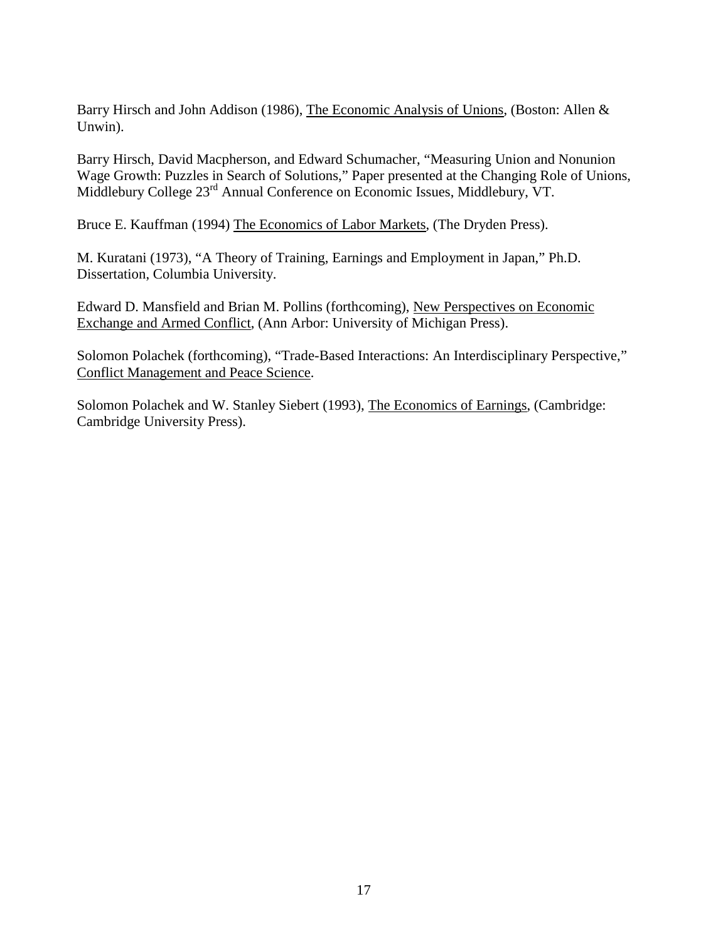Barry Hirsch and John Addison (1986), The Economic Analysis of Unions, (Boston: Allen & Unwin).

Barry Hirsch, David Macpherson, and Edward Schumacher, "Measuring Union and Nonunion Wage Growth: Puzzles in Search of Solutions," Paper presented at the Changing Role of Unions, Middlebury College 23<sup>rd</sup> Annual Conference on Economic Issues, Middlebury, VT.

Bruce E. Kauffman (1994) The Economics of Labor Markets, (The Dryden Press).

M. Kuratani (1973), "A Theory of Training, Earnings and Employment in Japan," Ph.D. Dissertation, Columbia University.

Edward D. Mansfield and Brian M. Pollins (forthcoming), New Perspectives on Economic Exchange and Armed Conflict, (Ann Arbor: University of Michigan Press).

Solomon Polachek (forthcoming), "Trade-Based Interactions: An Interdisciplinary Perspective," Conflict Management and Peace Science.

Solomon Polachek and W. Stanley Siebert (1993), The Economics of Earnings, (Cambridge: Cambridge University Press).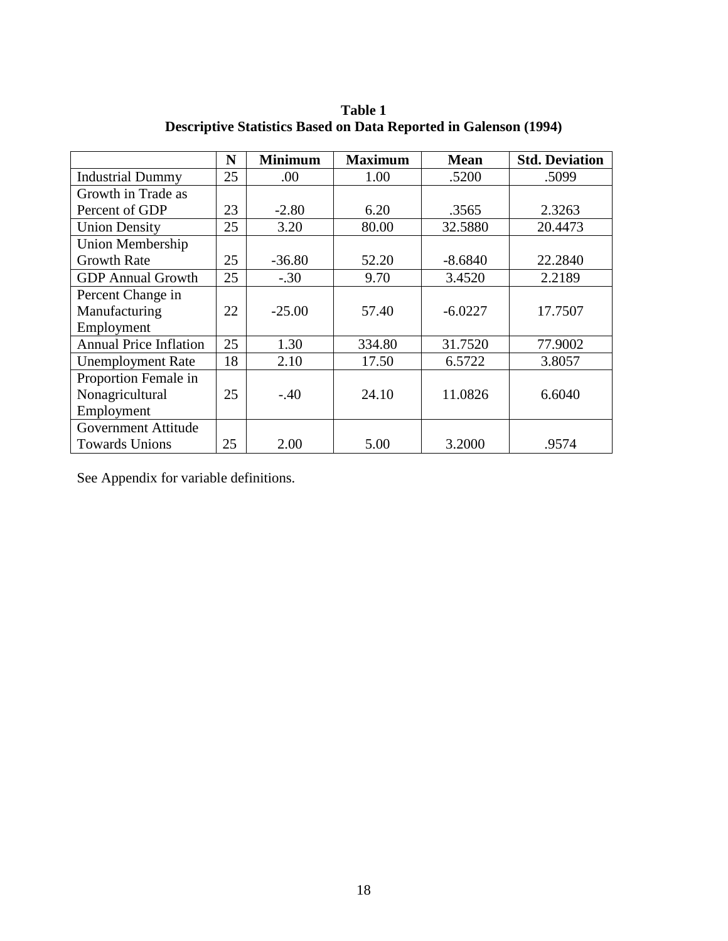|                               | N  | <b>Minimum</b> | <b>Maximum</b> | <b>Mean</b> | <b>Std. Deviation</b> |
|-------------------------------|----|----------------|----------------|-------------|-----------------------|
| <b>Industrial Dummy</b>       | 25 | .00            | 1.00           | .5200       | .5099                 |
| Growth in Trade as            |    |                |                |             |                       |
| Percent of GDP                | 23 | $-2.80$        | 6.20           | .3565       | 2.3263                |
| <b>Union Density</b>          | 25 | 3.20           | 80.00          | 32.5880     | 20.4473               |
| <b>Union Membership</b>       |    |                |                |             |                       |
| <b>Growth Rate</b>            | 25 | $-36.80$       | 52.20          | $-8.6840$   | 22.2840               |
| <b>GDP</b> Annual Growth      | 25 | $-.30$         | 9.70           | 3.4520      | 2.2189                |
| Percent Change in             |    |                |                |             |                       |
| Manufacturing                 | 22 | $-25.00$       | 57.40          | $-6.0227$   | 17.7507               |
| Employment                    |    |                |                |             |                       |
| <b>Annual Price Inflation</b> | 25 | 1.30           | 334.80         | 31.7520     | 77.9002               |
| <b>Unemployment Rate</b>      | 18 | 2.10           | 17.50          | 6.5722      | 3.8057                |
| Proportion Female in          |    |                |                |             |                       |
| Nonagricultural               | 25 | $-.40$         | 24.10          | 11.0826     | 6.6040                |
| Employment                    |    |                |                |             |                       |
| <b>Government Attitude</b>    |    |                |                |             |                       |
| <b>Towards Unions</b>         | 25 | 2.00           | 5.00           | 3.2000      | .9574                 |

**Table 1 Descriptive Statistics Based on Data Reported in Galenson (1994)** 

See Appendix for variable definitions.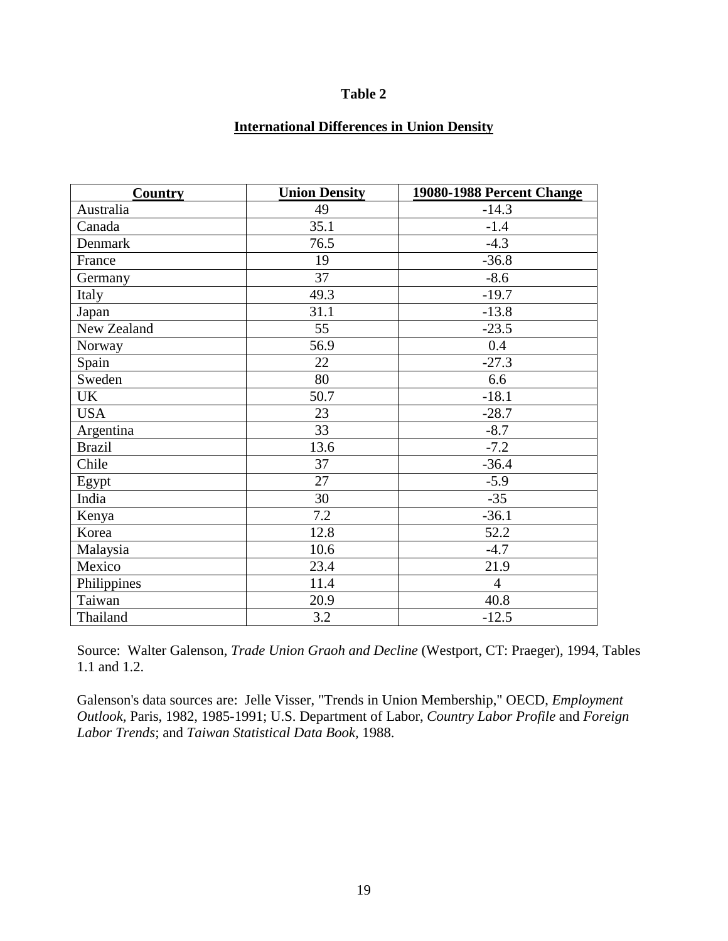# **International Differences in Union Density**

| <b>Country</b> | <b>Union Density</b> | 19080-1988 Percent Change |
|----------------|----------------------|---------------------------|
| Australia      | 49                   | $-14.3$                   |
| Canada         | 35.1                 | $-1.4$                    |
| Denmark        | 76.5                 | $-4.3$                    |
| France         | 19                   | $-36.8$                   |
| Germany        | 37                   | $-8.6$                    |
| Italy          | 49.3                 | $-19.7$                   |
| Japan          | 31.1                 | $-13.8$                   |
| New Zealand    | 55                   | $-23.5$                   |
| Norway         | 56.9                 | 0.4                       |
| Spain          | 22                   | $-27.3$                   |
| Sweden         | 80                   | 6.6                       |
| <b>UK</b>      | 50.7                 | $-18.1$                   |
| <b>USA</b>     | 23                   | $-28.7$                   |
| Argentina      | 33                   | $-8.7$                    |
| <b>Brazil</b>  | 13.6                 | $-7.2$                    |
| Chile          | 37                   | $-36.4$                   |
| Egypt          | 27                   | $-5.9$                    |
| India          | 30                   | $-35$                     |
| Kenya          | 7.2                  | $-36.1$                   |
| Korea          | 12.8                 | 52.2                      |
| Malaysia       | 10.6                 | $-4.7$                    |
| Mexico         | 23.4                 | 21.9                      |
| Philippines    | 11.4                 | $\overline{4}$            |
| Taiwan         | 20.9                 | 40.8                      |
| Thailand       | 3.2                  | $-12.5$                   |

Source: Walter Galenson, *Trade Union Graoh and Decline* (Westport, CT: Praeger), 1994, Tables 1.1 and 1.2.

Galenson's data sources are: Jelle Visser, "Trends in Union Membership," OECD, *Employment Outlook,* Paris, 1982, 1985-1991; U.S. Department of Labor, *Country Labor Profile* and *Foreign Labor Trends*; and *Taiwan Statistical Data Book,* 1988.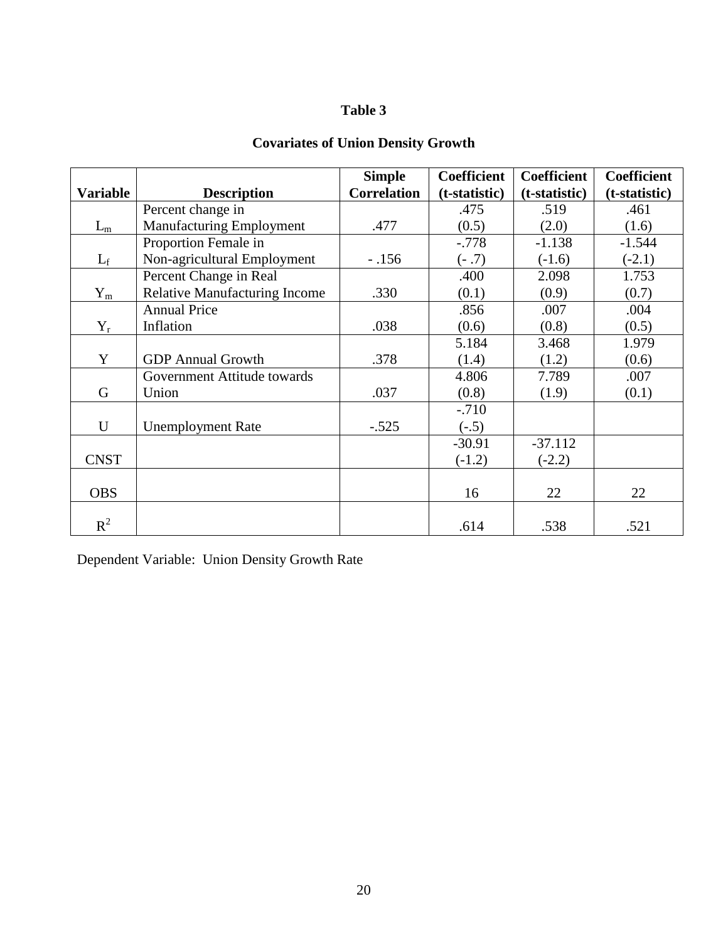## **Covariates of Union Density Growth**

|                 |                                      | <b>Simple</b>      | <b>Coefficient</b> | <b>Coefficient</b> | <b>Coefficient</b> |
|-----------------|--------------------------------------|--------------------|--------------------|--------------------|--------------------|
| <b>Variable</b> | <b>Description</b>                   | <b>Correlation</b> | (t-statistic)      | (t-statistic)      | (t-statistic)      |
|                 | Percent change in                    |                    | .475               | .519               | .461               |
| $L_m$           | <b>Manufacturing Employment</b>      | .477               | (0.5)              | (2.0)              | (1.6)              |
|                 | Proportion Female in                 |                    | $-.778$            | $-1.138$           | $-1.544$           |
| $L_f$           | Non-agricultural Employment          | $-.156$            | $(-.7)$            | $(-1.6)$           | $(-2.1)$           |
|                 | Percent Change in Real               |                    | .400               | 2.098              | 1.753              |
| $Y_m$           | <b>Relative Manufacturing Income</b> | .330               | (0.1)              | (0.9)              | (0.7)              |
|                 | <b>Annual Price</b>                  |                    | .856               | .007               | .004               |
| $Y_r$           | Inflation                            | .038               | (0.6)              | (0.8)              | (0.5)              |
|                 |                                      |                    | 5.184              | 3.468              | 1.979              |
| Y               | <b>GDP</b> Annual Growth             | .378               | (1.4)              | (1.2)              | (0.6)              |
|                 | Government Attitude towards          |                    | 4.806              | 7.789              | .007               |
| G               | Union                                | .037               | (0.8)              | (1.9)              | (0.1)              |
|                 |                                      |                    | $-.710$            |                    |                    |
| U               | <b>Unemployment Rate</b>             | $-.525$            | $(-.5)$            |                    |                    |
|                 |                                      |                    | $-30.91$           | $-37.112$          |                    |
| <b>CNST</b>     |                                      |                    | $(-1.2)$           | $(-2.2)$           |                    |
|                 |                                      |                    |                    |                    |                    |
| <b>OBS</b>      |                                      |                    | 16                 | 22                 | 22                 |
|                 |                                      |                    |                    |                    |                    |
| $R^2$           |                                      |                    | .614               | .538               | .521               |

Dependent Variable: Union Density Growth Rate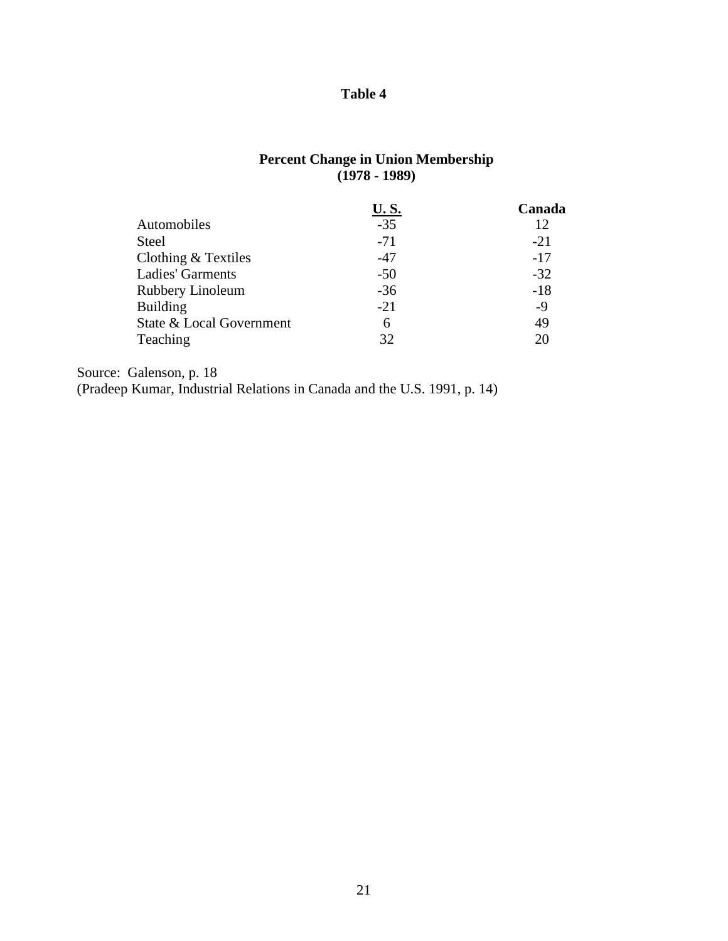### **Percent Change in Union Membership (1978 - 1989)**

|                          | <b>U.S.</b> | Canada |
|--------------------------|-------------|--------|
| Automobiles              | $-35$       | 12     |
| <b>Steel</b>             | $-71$       | $-21$  |
| Clothing $&$ Textiles    | $-47$       | $-17$  |
| Ladies' Garments         | $-50$       | $-32$  |
| Rubbery Linoleum         | $-36$       | $-18$  |
| <b>Building</b>          | $-21$       | $-9$   |
| State & Local Government | 6           | 49     |
| Teaching                 | 32          | 20     |

Source: Galenson, p. 18

(Pradeep Kumar, Industrial Relations in Canada and the U.S. 1991, p. 14)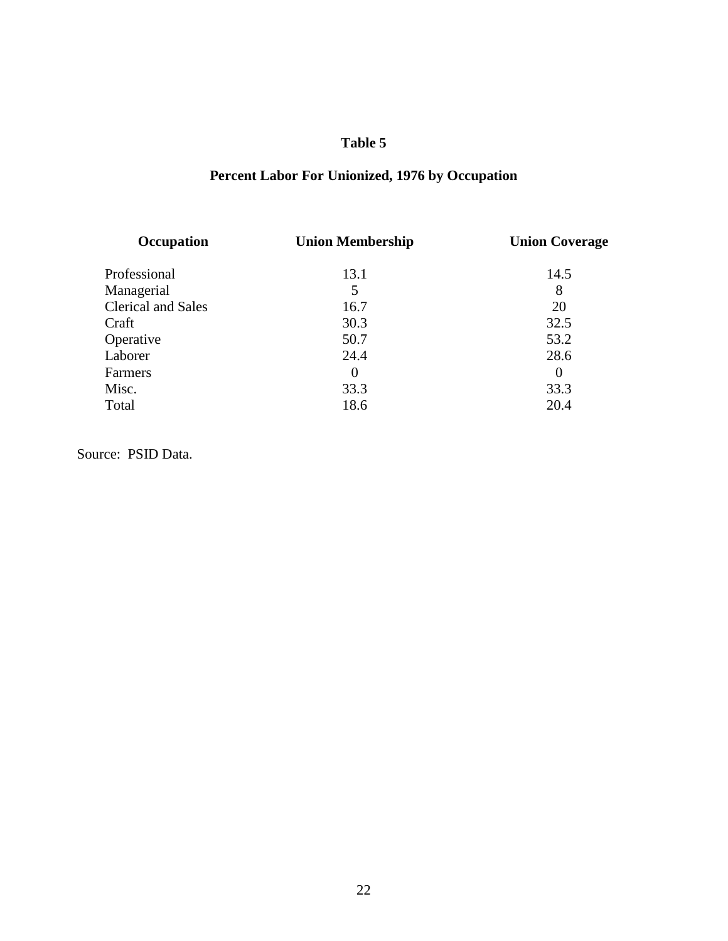# **Percent Labor For Unionized, 1976 by Occupation**

| Occupation                | <b>Union Membership</b> | <b>Union Coverage</b> |
|---------------------------|-------------------------|-----------------------|
| Professional              | 13.1                    | 14.5                  |
| Managerial                | 5                       | 8                     |
| <b>Clerical and Sales</b> | 16.7                    | 20                    |
| Craft                     | 30.3                    | 32.5                  |
| Operative                 | 50.7                    | 53.2                  |
| Laborer                   | 24.4                    | 28.6                  |
| Farmers                   | $\theta$                | $\Omega$              |
| Misc.                     | 33.3                    | 33.3                  |
| Total                     | 18.6                    | 20.4                  |
|                           |                         |                       |

Source: PSID Data.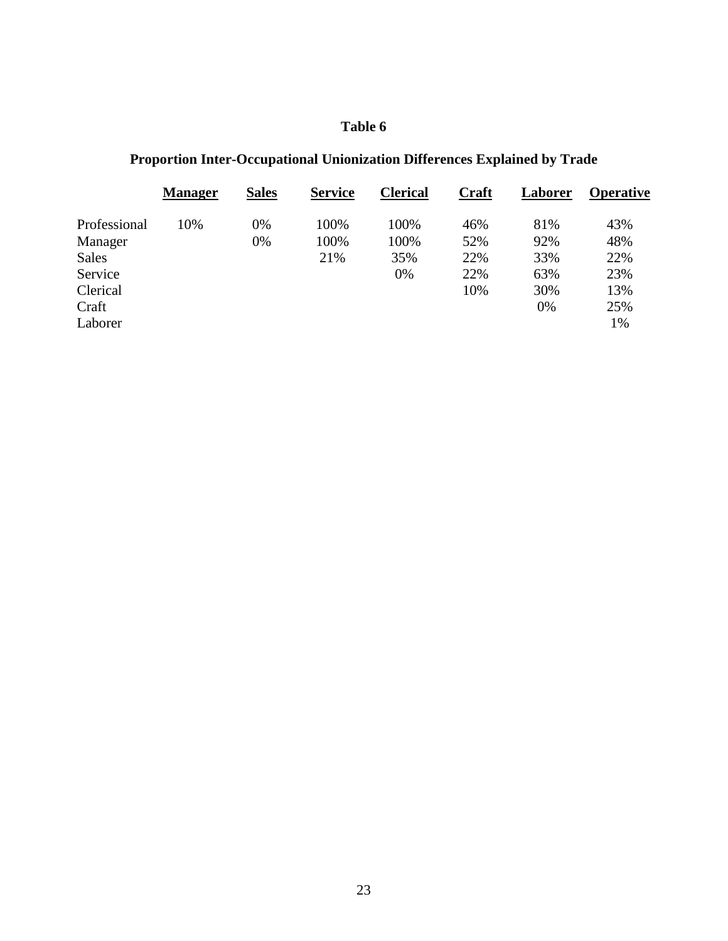# **Proportion Inter-Occupational Unionization Differences Explained by Trade**

|              | <b>Manager</b> | <b>Sales</b> | <b>Service</b> | <b>Clerical</b> | <b>Craft</b> | Laborer | <b>Operative</b> |
|--------------|----------------|--------------|----------------|-----------------|--------------|---------|------------------|
| Professional | 10%            | 0%           | 100%           | 100%            | 46%          | 81%     | 43%              |
| Manager      |                | 0%           | 100%           | 100%            | 52%          | 92%     | 48%              |
| <b>Sales</b> |                |              | 21%            | 35%             | 22%          | 33%     | 22%              |
| Service      |                |              |                | 0%              | 22%          | 63%     | 23%              |
| Clerical     |                |              |                |                 | 10%          | 30%     | 13%              |
| Craft        |                |              |                |                 |              | 0%      | 25%              |
| Laborer      |                |              |                |                 |              |         | 1%               |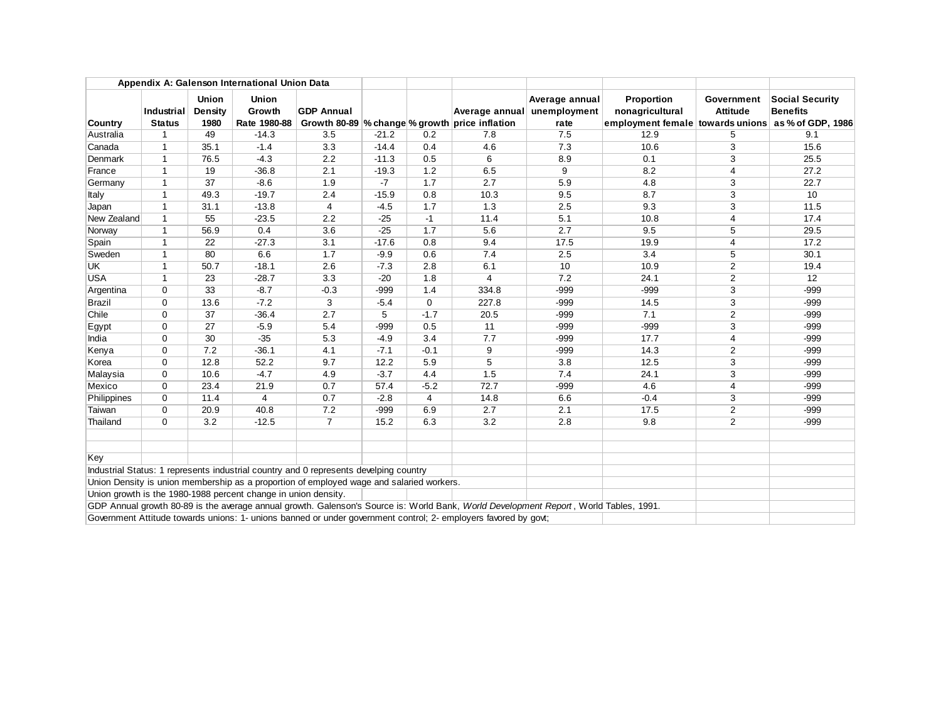| Appendix A: Galenson International Union Data |                |                  |                                                                |                                                                                          |         |             |                                                                                                                                       |                                |                                                    |                        |                                           |
|-----------------------------------------------|----------------|------------------|----------------------------------------------------------------|------------------------------------------------------------------------------------------|---------|-------------|---------------------------------------------------------------------------------------------------------------------------------------|--------------------------------|----------------------------------------------------|------------------------|-------------------------------------------|
|                                               | Industrial     | Union<br>Density | <b>Union</b><br>Growth                                         | <b>GDP Annual</b>                                                                        |         |             | Average annual                                                                                                                        | Average annual<br>unemployment | Proportion<br>nonagricultural                      | Government<br>Attitude | <b>Social Security</b><br><b>Benefits</b> |
| Country                                       | <b>Status</b>  | 1980             | Rate 1980-88                                                   |                                                                                          |         |             | Growth 80-89 % change % growth price inflation                                                                                        | rate                           | employment female towards unions as % of GDP, 1986 |                        |                                           |
| Australia                                     | $\overline{1}$ | 49               | $-14.3$                                                        | 3.5                                                                                      | $-21.2$ | 0.2         | 7.8                                                                                                                                   | 7.5                            | 12.9                                               | 5                      | 9.1                                       |
| Canada                                        | $\overline{1}$ | 35.1             | $-1.4$                                                         | 3.3                                                                                      | $-14.4$ | 0.4         | 4.6                                                                                                                                   | 7.3                            | 10.6                                               | 3                      | 15.6                                      |
| Denmark                                       | $\overline{1}$ | 76.5             | $-4.3$                                                         | 2.2                                                                                      | $-11.3$ | 0.5         | 6                                                                                                                                     | 8.9                            | 0.1                                                | 3                      | 25.5                                      |
| France                                        | $\overline{1}$ | 19               | $-36.8$                                                        | 2.1                                                                                      | $-19.3$ | 1.2         | 6.5                                                                                                                                   | 9                              | 8.2                                                | 4                      | 27.2                                      |
| Germany                                       | $\overline{1}$ | 37               | $-8.6$                                                         | 1.9                                                                                      | $-7$    | 1.7         | 2.7                                                                                                                                   | 5.9                            | 4.8                                                | 3                      | 22.7                                      |
| Italy                                         | $\overline{1}$ | 49.3             | $-19.7$                                                        | 2.4                                                                                      | $-15.9$ | 0.8         | 10.3                                                                                                                                  | 9.5                            | 8.7                                                | 3                      | 10                                        |
| Japan                                         | $\overline{1}$ | 31.1             | $-13.8$                                                        | $\overline{4}$                                                                           | $-4.5$  | 1.7         | 1.3                                                                                                                                   | 2.5                            | 9.3                                                | 3                      | 11.5                                      |
| New Zealand                                   | $\overline{1}$ | 55               | $-23.5$                                                        | 2.2                                                                                      | $-25$   | $-1$        | 11.4                                                                                                                                  | 5.1                            | 10.8                                               | 4                      | 17.4                                      |
| Norway                                        | $\overline{1}$ | 56.9             | 0.4                                                            | 3.6                                                                                      | $-25$   | 1.7         | 5.6                                                                                                                                   | 2.7                            | 9.5                                                | 5                      | 29.5                                      |
| Spain                                         | $\overline{1}$ | 22               | $-27.3$                                                        | 3.1                                                                                      | $-17.6$ | 0.8         | 9.4                                                                                                                                   | 17.5                           | 19.9                                               | 4                      | 17.2                                      |
| Sweden                                        | $\overline{1}$ | 80               | 6.6                                                            | 1.7                                                                                      | $-9.9$  | 0.6         | 7.4                                                                                                                                   | 2.5                            | 3.4                                                | 5                      | 30.1                                      |
| <b>UK</b>                                     | $\mathbf{1}$   | 50.7             | $-18.1$                                                        | 2.6                                                                                      | $-7.3$  | 2.8         | 6.1                                                                                                                                   | 10                             | 10.9                                               | 2                      | 19.4                                      |
| <b>USA</b>                                    | $\overline{1}$ | 23               | $-28.7$                                                        | 3.3                                                                                      | $-20$   | 1.8         | 4                                                                                                                                     | 7.2                            | 24.1                                               | $\overline{2}$         | 12                                        |
| Argentina                                     | $\Omega$       | 33               | $-8.7$                                                         | $-0.3$                                                                                   | $-999$  | 1.4         | 334.8                                                                                                                                 | $-999$                         | $-999$                                             | 3                      | $-999$                                    |
| <b>Brazil</b>                                 | $\Omega$       | 13.6             | $-7.2$                                                         | 3                                                                                        | $-5.4$  | $\mathbf 0$ | 227.8                                                                                                                                 | $-999$                         | 14.5                                               | 3                      | $-999$                                    |
| Chile                                         | $\Omega$       | 37               | $-36.4$                                                        | 2.7                                                                                      | 5       | $-1.7$      | 20.5                                                                                                                                  | $-999$                         | 7.1                                                | $\overline{2}$         | $-999$                                    |
| Egypt                                         | $\Omega$       | 27               | $-5.9$                                                         | 5.4                                                                                      | $-999$  | 0.5         | 11                                                                                                                                    | $-999$                         | $-999$                                             | 3                      | $-999$                                    |
| India                                         | $\Omega$       | 30               | $-35$                                                          | 5.3                                                                                      | $-4.9$  | 3.4         | 7.7                                                                                                                                   | $-999$                         | 17.7                                               | 4                      | $-999$                                    |
| Kenya                                         | $\Omega$       | 7.2              | $-36.1$                                                        | 4.1                                                                                      | $-7.1$  | $-0.1$      | $\overline{9}$                                                                                                                        | $-999$                         | 14.3                                               | 2                      | $-999$                                    |
| Korea                                         | $\Omega$       | 12.8             | 52.2                                                           | 9.7                                                                                      | 12.2    | 5.9         | 5                                                                                                                                     | 3.8                            | 12.5                                               | 3                      | $-999$                                    |
| Malaysia                                      | $\mathbf 0$    | 10.6             | $-4.7$                                                         | 4.9                                                                                      | $-3.7$  | 4.4         | 1.5                                                                                                                                   | 7.4                            | 24.1                                               | 3                      | $-999$                                    |
| Mexico                                        | $\Omega$       | 23.4             | 21.9                                                           | 0.7                                                                                      | 57.4    | $-5.2$      | 72.7                                                                                                                                  | $-999$                         | 4.6                                                | 4                      | $-999$                                    |
| Philippines                                   | $\mathbf 0$    | 11.4             | 4                                                              | 0.7                                                                                      | $-2.8$  | 4           | 14.8                                                                                                                                  | 6.6                            | $-0.4$                                             | 3                      | $-999$                                    |
| Taiwan                                        | $\Omega$       | 20.9             | 40.8                                                           | 7.2                                                                                      | $-999$  | 6.9         | 2.7                                                                                                                                   | 2.1                            | 17.5                                               | 2                      | $-999$                                    |
| Thailand                                      | $\Omega$       | 3.2              | $-12.5$                                                        | $\overline{7}$                                                                           | 15.2    | 6.3         | 3.2                                                                                                                                   | 2.8                            | 9.8                                                | $\overline{2}$         | $-999$                                    |
|                                               |                |                  |                                                                |                                                                                          |         |             |                                                                                                                                       |                                |                                                    |                        |                                           |
| Key                                           |                |                  |                                                                |                                                                                          |         |             |                                                                                                                                       |                                |                                                    |                        |                                           |
|                                               |                |                  |                                                                | Industrial Status: 1 represents industrial country and 0 represents develping country    |         |             |                                                                                                                                       |                                |                                                    |                        |                                           |
|                                               |                |                  |                                                                | Union Density is union membership as a proportion of employed wage and salaried workers. |         |             |                                                                                                                                       |                                |                                                    |                        |                                           |
|                                               |                |                  | Union growth is the 1980-1988 percent change in union density. |                                                                                          |         |             |                                                                                                                                       |                                |                                                    |                        |                                           |
|                                               |                |                  |                                                                |                                                                                          |         |             | GDP Annual growth 80-89 is the average annual growth. Galenson's Source is: World Bank, World Development Report, World Tables, 1991. |                                |                                                    |                        |                                           |
|                                               |                |                  |                                                                |                                                                                          |         |             | Government Attitude towards unions: 1- unions banned or under government control; 2- employers favored by govt;                       |                                |                                                    |                        |                                           |